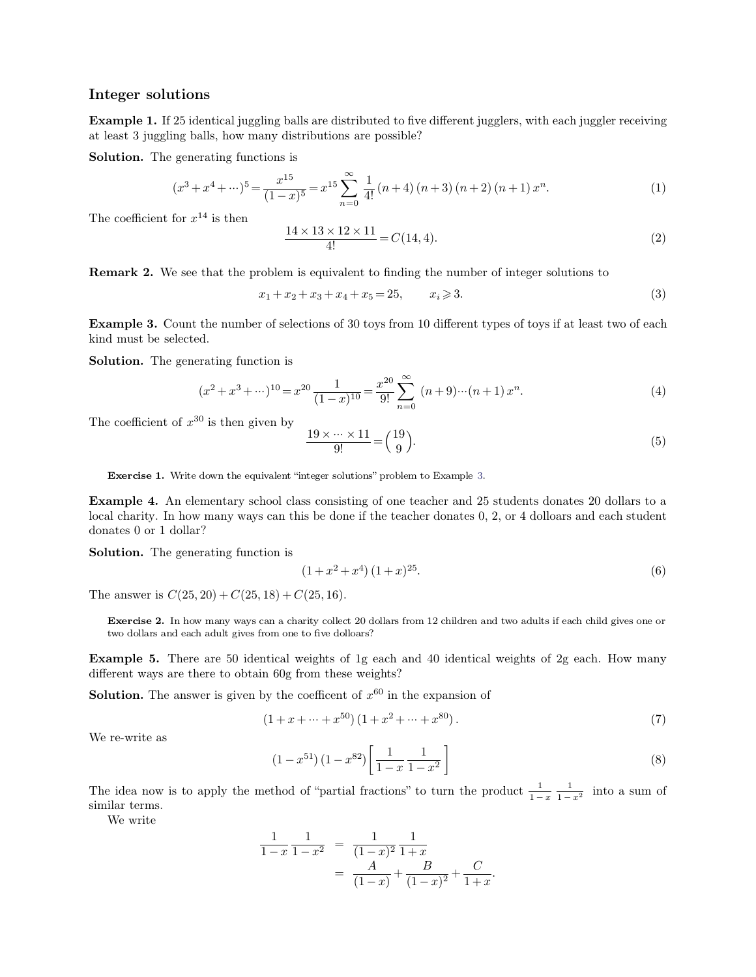**Integer solutions** Frieder Solutions<br> **Example 1.** If 25 identical juggling balls are distributed to five different jugglers, with each juggler receiving<br>
at least 3 juggling balls, how many distributions are possible? Integer solutions<br>Example 1. If 25 identical juggling balls are distributed to five differes<br>at least 3 juggling balls, how many distributions are possible?<br>Solution. The generating functions is **Integer solutions**<br>**Example 1.** If 25 identical juggling balls are dist least 3 juggling balls, how many distribution<br>**Solution.** The generating functions is

**Solution.** The generating functions is

25 identical jugging balls are distributed to five different jugglers, with each juggler receiving ng balls, how many distributions are possible?  
\ngenerating functions is  
\n
$$
(x^3 + x^4 + \cdots)^5 = \frac{x^{15}}{(1-x)^5} = x^{15} \sum_{n=0}^{\infty} \frac{1}{4!} (n+4) (n+3) (n+2) (n+1) x^n.
$$
\n(1)

The coefficient for  $x^{14}$  is then

The coefficient for 
$$
x^{14}
$$
 is then  
\n
$$
\frac{14 \times 13 \times 12 \times 11}{4!} = C(14, 4).
$$
\n(2)  
\n**Remark 2.** We see that the problem is equivalent to finding the number of integer solutions to  
\n $x_1 + x_2 + x_3 + x_4 + x_5 = 25$ ,  $x_i \ge 3$ .  
\n(3)  
\n**Example 3.** Count the number of selections of 30, they from 10 different times of to get two of each

$$
x_1 + x_2 + x_3 + x_4 + x_5 = 25, \qquad x_i \geq 3. \tag{3}
$$

**Example 3.** Count the number of selections of 30 toys from 10 different types of toys if at least two of each kind must be selected. (3) **Remark 2.** We see that the nu<br>**Example 3.** Count the nu<br>kind must be selected.<br>**Solution.** The generating **Example 3.** Count the number of selections of scheeting functions of solution. The generating function is

<span id="page-0-0"></span>**Example 3.** Count the number of selections of 30 toys from 10 different types of toys if at least two of each kind must be selected.  
\n**Solution.** The generating function is\n
$$
(x^2 + x^3 + \cdots)^{10} = x^{20} \frac{1}{(1-x)^{10}} = \frac{x^{20}}{9!} \sum_{n=0}^{\infty} (n+9)\cdots(n+1) x^n.
$$
\n(4)  
\nThe coefficient of  $x^{30}$  is then given by\n
$$
\frac{19 \times \cdots \times 11}{9!} = {19 \choose 0}.
$$

$$
\frac{19 \times \dots \times 11}{9!} = \binom{19}{9}.\tag{5}
$$

**Exercise 1.** Write down the equivalent "integer solutions" problem to Example 3.<br>**Example 4.** An elementary school class consisting of one teacher and 25 students donates 20 dollars to a **Exercise1.** Write down the equivalent "integer solutions" problem to Example 3.<br> **Example 4.** An elementary school class consisting of one teacher and 25 students donates 20 dollars to a local charity. In how many ways **Exercise 1.** Write down the equivalent "integer solutions" problem to Example 3.<br> **Example 4.** An elementary school class consisting of one teacher and 25 students donates 20 dollars to a local charity. In how many ways Exercise 1. Write down the e<br>
Example 4. An elementary<br>
local charity. In how many wa<br>
donates 0 or 1 dollar?<br>
Solution. The generating fu **Example 4.** An elementary school class considered in the generating function is **Solution.** The generating function is  $(1 + x^2)$ as consisting of one teacher are<br>is be done if the teacher donat<br> $(1 + x^2 + x^4) (1 + x)^{25}$ .<br> $(25, 16)$ .

$$
(1+x^2+x^4)(1+x)^{25}.
$$
 (6)

**Solution.** The generating function is<br>  $(1+x^2+x^4)(1+x)^{25}$ . (6)<br>
The answer is  $C(25,20) + C(25,18) + C(25,16)$ .<br> **Exercise 2.** In how many ways can a charity collect 20 dollars from 12 children and two adults if each child g The answer is  $C(25, 20) + C(25, 18) + C(25, 16)$ .<br> **Exercise 2.** In how many ways can a charity collect 20 dollars from 12 children and two adults if each child gives one or two dollars and each adult gives from one to five

**Example 5.** There are 50 identical weights of 1g each and 40 identical weights of 2g each. How many different ways are there to obtain 60g from these weights? Exercise 2. In how many ways can a charity collect 20 dollars from 12 c<br>two dollars and each adult gives from one to five dolloars?<br>**Example 5.** There are 50 identical weights of 1g each and 40<br>different ways are there to **Exercise 2.** In how many ways can a charity collect 20 dollars from 12 children and two ad two dollars and each adult gives from one to five dolloars?<br> **Example 5.** There are 50 identical weights of 1g each and 40 identi Find the verights of 1g each and 40 is<br>  $\frac{1}{2}$  of  $\frac{1}{2}$  of  $\frac{1}{2}$  of  $\frac{1}{2}$  of  $\frac{1}{2}$  of  $\frac{1}{2}$  of  $\frac{1}{2}$  of  $\frac{1}{2}$ <br>  $\frac{1}{2}$   $\frac{1}{2}$   $\frac{1}{2}$   $\frac{1}{2}$   $\frac{1}{2}$   $\frac{1}{2}$   $\frac{1}{2}$   $\frac{1}{2}$ Example 3. There is<br>different ways are then<br>Solution. The answer

$$
(1+x+\dots+x^{50}) (1+x^2+\dots+x^{80}).
$$
\n(7)

$$
(7)
$$
\n
$$
(1-x^{51})(1-x^{82})\left[\frac{1}{1-x}\frac{1}{1-x^{2}}\right]
$$
\n(8)

\n14. (a) (1-x^{51})(1-x^{82})\left[\frac{1}{1-x}\frac{1}{1-x^{2}}\right]

\n(9)

\n15. (a) (1-x^{51})(1-x^{82})\left[\frac{1}{1-x}\frac{1}{1-x^{2}}\right]

\n(10)

\n16. (b) (10)

(1+x+...+x<sup>50</sup>) (1+x<sup>2</sup>+...+x<sup>80</sup>).<br>We re-write as<br> $(1-x^{51})(1-x^{82})\left[\frac{1}{1-x}\frac{1}{1-x^2}\right]$ <br>The idea now is to apply the method of "partial fractions" to turn the product  $\frac{1}{1-x}\frac{1}{1-x}$ <br>similar terms.  $1 - x \quad 1 - x^2$  $1 \quad \ldots$  $1 - x^2$  **into**  $\alpha$ We re-write as<br>The idea now is to<br>similar terms.<br>We write e idea now is to<br>ilar terms.<br>We write

method of "partial fractions" to turn the product 
$$
\frac{1}{1-x}
$$
  

$$
\frac{1}{1-x} \frac{1}{1-x^2} = \frac{1}{(1-x)^2} \frac{1}{1+x}
$$

$$
= \frac{A}{(1-x)} + \frac{B}{(1-x)^2} + \frac{C}{1+x}.
$$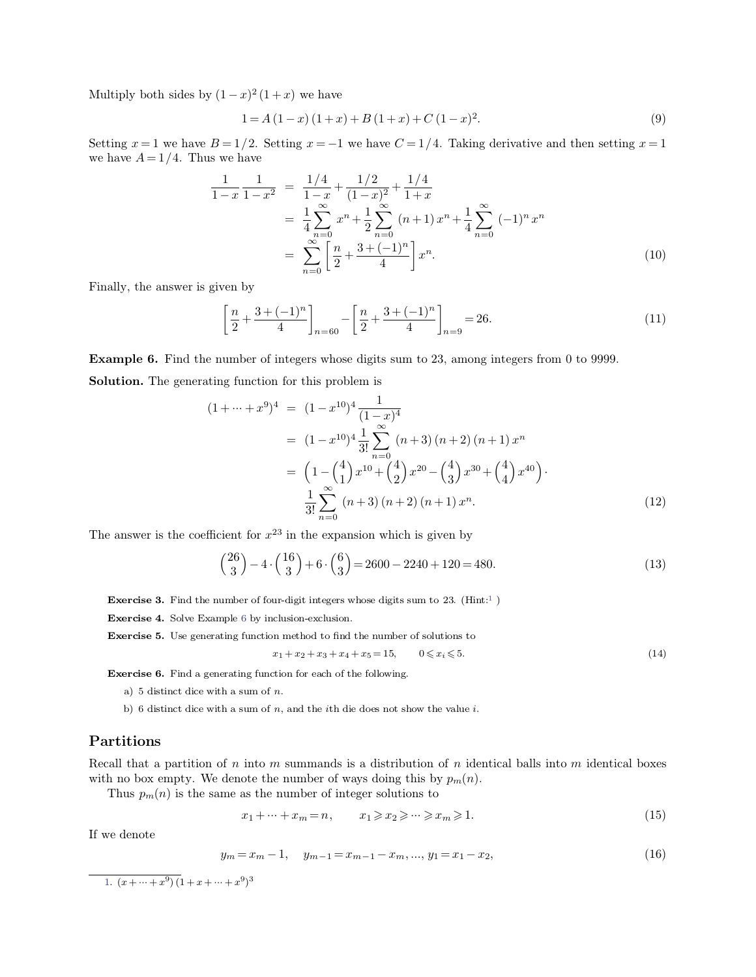Multiply both sides by  $(1 - x)^2 (1 + x)$  we have<br>  $1 = A (1 - x) (1 + x) + B (1 - x)$ 

$$
x^{2}(1+x)
$$
 we have  
\n
$$
1 = A(1-x)(1+x) + B(1+x) + C(1-x)^{2}.
$$
\n(9)  
\n
$$
2. Setting x = -1 we have C = 1/4. Taking derivative and then setting x = 1
$$

Multiply both sides by  $(1-x)^2(1+x)$  we have<br>  $1 = A(1-x)(1+x) + B(1+x) + C(1-x)^2$ . (9)<br>
Setting  $x = 1$  we have  $B = 1/2$ . Setting  $x = -1$  we have  $C = 1/4$ . Taking derivative and then setting  $x = 1$ <br>
we have  $A = 1/4$ . Thus we have Multiply both sides by  $(1-x)^2 (1+x)$ <br>  $1 = A (1-x)$ <br>
Setting  $x = 1$  we have  $B = 1/2$ . Setting<br>
we have  $A = 1/4$ . Thus we have

Setting 
$$
x = 1
$$
 we have  $B = 1/2$ . Setting  $x = -1$  we have  $C = 1/4$ . Taking derivative and then setting  $x = 1$   
we have  $A = 1/4$ . Thus we have  

$$
\frac{1}{1-x} \frac{1}{1-x^2} = \frac{1/4}{1-x} + \frac{1/2}{(1-x)^2} + \frac{1/4}{1+x}
$$

$$
= \frac{1}{4} \sum_{n=0}^{\infty} x^n + \frac{1}{2} \sum_{n=0}^{\infty} (n+1) x^n + \frac{1}{4} \sum_{n=0}^{\infty} (-1)^n x^n
$$

$$
= \sum_{n=0}^{\infty} \left[ \frac{n}{2} + \frac{3 + (-1)^n}{4} \right] x^n.
$$
(10)  
Finally, the answer is given by

$$
= \sum_{n=0}^{\infty} \left[ \frac{n}{2} + \frac{3 + (-1)^n}{4} \right] x^n.
$$
\n(10)

\n
$$
\left[ \frac{n}{2} + \frac{3 + (-1)^n}{4} \right]_{n=60} - \left[ \frac{n}{2} + \frac{3 + (-1)^n}{4} \right]_{n=9} = 26.
$$
\n(11)

Finally, the answer is given by<br>  $\left[\frac{n}{2} + \frac{3 + (-1)^n}{4}\right]_{n=60} - \left[\frac{n}{2} + \frac{3 + (-1)^n}{4}\right]_{n=9} = 26.$ <br> **Example 6.** Find the number of integers whose digits sum to 23, among integers from 0 to 9999.<br> **Solution.** The generati  $\left[\frac{n}{2} + \frac{3+(-1)^n}{4}\right]_{n=60} - \left[\frac{n}{2} + \frac{3+(-1)^n}{4}\right]$ <br>**Example 6.** Find the number of integers whose digits sum to<br>**Solution.** The generating function for this problem is **Solution.** The generating function for this problem is

<span id="page-1-0"></span>Solution. The generating function for this problem is  
\n
$$
(1 + \dots + x^9)^4 = (1 - x^{10})^4 \frac{1}{(1 - x)^4}
$$
\n
$$
= (1 - x^{10})^4 \frac{1}{3!} \sum_{n=0}^{\infty} (n+3) (n+2) (n+1) x^n
$$
\n
$$
= \left(1 - {4 \choose 1} x^{10} + {4 \choose 2} x^{20} - {4 \choose 3} x^{30} + {4 \choose 4} x^{40} \right).
$$
\n
$$
\frac{1}{3!} \sum_{n=0}^{\infty} (n+3) (n+2) (n+1) x^n.
$$
\n(12)  
\nThe answer is the coefficient for  $x^{23}$  in the expansion which is given by

$$
\frac{1}{3!} \sum_{n=0}^{n} (n+3) (n+2) (n+1) x^n.
$$
\n(12)\n  
\ne answer is the coefficient for  $x^{23}$  in the expansion which is given by\n
$$
\binom{26}{3} - 4 \cdot \binom{16}{3} + 6 \cdot \binom{6}{3} = 2600 - 2240 + 120 = 480.
$$
\n(13)\n  
\nExercise 3. Find the number of four-digit integers whose digits sum to 23. (Hint:<sup>1</sup>)\n  
\nExercise 4. Solve Example 6 by inclusion-exclusion.\n  
\nExercise 5. Use generating function method to find the number of solutions to

**Exercise 4.** Solve Example 6 by inclusion-exclusion.<br> **Exercise 5.** Use generating function method to find the number of solutions to  $x_1 + x_2 + x_3 + x_4 + x_5 = 15$ ,  $0 \le x_i \le 5$ .<br> **Exercise 6.** Find a generating function for

**Exercise 3.** Find the number of four-digit integers whose digits sum to 23. (Hint:<sup>1</sup>)  
**Exercise 4.** Solve Example 6 by inclusion-exclusion.  
**Exercise 5.** Use generating function method to find the number of solutions to  

$$
x_1 + x_2 + x_3 + x_4 + x_5 = 15
$$
,  $0 \le x_i \le 5$ . (14)

- 
- 

## **Partitions**

a) 5 distinct dice with a sum of *n*, and the *i*th die does not show the value *i*.<br> **Partitions**<br>
Recall that a partition of *n* into *m* summands is a distribution of *n* identical balls into *m* identical boxes<br>
with b) 6 distinct dice with a sum of *n*, and the *i*th die does not show the value *i*.<br> **Partitions**<br>
Recall that a partition of *n* into *m* summands is a distribution of *n* identica<br>
with no box empty. We denote the numb into *m* summands is a distribution of *n* identical balls into *m* identical boxes<br>ote the number of ways doing this by  $p_m(n)$ .<br>as the number of integer solutions to<br> $x_1 + \dots + x_m = n,$   $x_1 \ge x_2 \ge \dots \ge x_m \ge 1.$  (15) Recall that a partit<br>with no box empty.<br>Thus  $p_m(n)$  is then the position of the set of the set of the set of the set of the set of the set of the set of the set of the set of the set of the set of the set of the set of th

<span id="page-1-1"></span>The value of the number of integers and the number of integers is 
$$
x_1 + \cdots + x_m = n
$$
,  $x_1 \geq x_2 \geq \cdots \geq x_m \geq 1$ .  $y_m = x_m - 1, \quad y_{m-1} = x_{m-1} - x_m, \ldots, y_1 = x_1 - x_2,$  (16)

$$
y_m = x_m - 1, \quad y_{m-1} = x_{m-1} - x_m, \dots, y_1 = x_1 - x_2,\tag{16}
$$

[1.](#page-1-1)  $(x + \dots + x^9) (1 + x + \dots)$  $y_m = x_m - 1,$ <br>)  $(1 + x + \dots + x^9)^3$ 9 )3